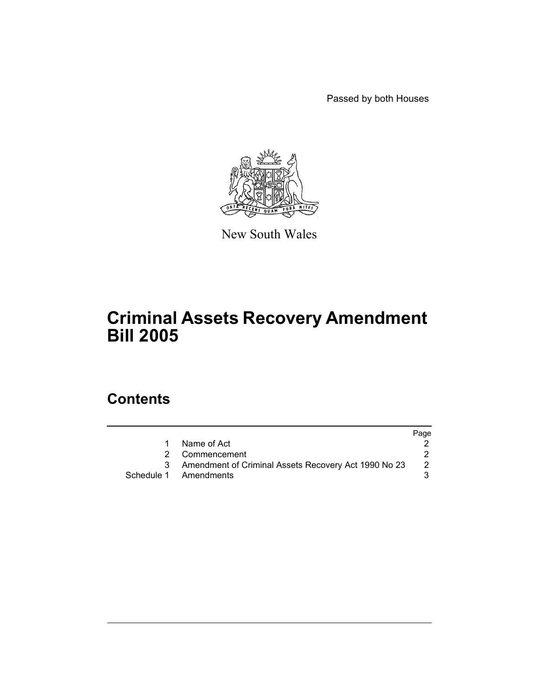Passed by both Houses



New South Wales

# **Criminal Assets Recovery Amendment Bill 2005**

# **Contents**

|                                                      | Page |
|------------------------------------------------------|------|
| Name of Act                                          |      |
| 2 Commencement                                       |      |
| Amendment of Criminal Assets Recovery Act 1990 No 23 |      |
| Schedule 1 Amendments                                |      |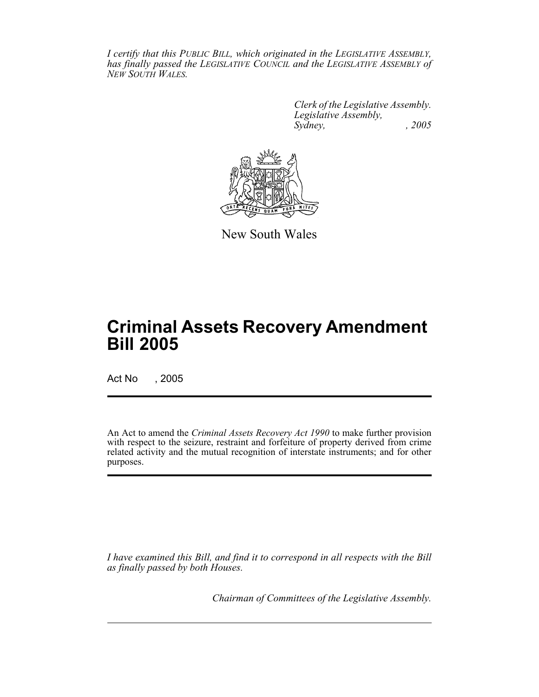*I certify that this PUBLIC BILL, which originated in the LEGISLATIVE ASSEMBLY, has finally passed the LEGISLATIVE COUNCIL and the LEGISLATIVE ASSEMBLY of NEW SOUTH WALES.*

> *Clerk of the Legislative Assembly. Legislative Assembly, Sydney, , 2005*



New South Wales

# **Criminal Assets Recovery Amendment Bill 2005**

Act No , 2005

An Act to amend the *Criminal Assets Recovery Act 1990* to make further provision with respect to the seizure, restraint and forfeiture of property derived from crime related activity and the mutual recognition of interstate instruments; and for other purposes.

*I have examined this Bill, and find it to correspond in all respects with the Bill as finally passed by both Houses.*

*Chairman of Committees of the Legislative Assembly.*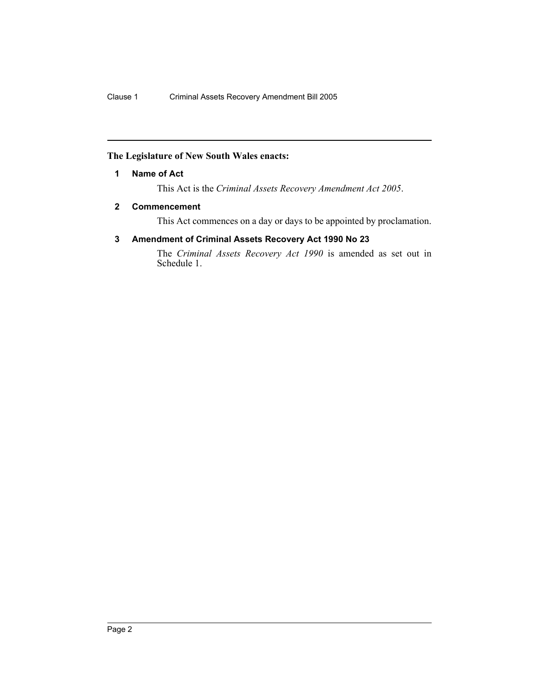## **The Legislature of New South Wales enacts:**

## **1 Name of Act**

This Act is the *Criminal Assets Recovery Amendment Act 2005*.

## **2 Commencement**

This Act commences on a day or days to be appointed by proclamation.

## **3 Amendment of Criminal Assets Recovery Act 1990 No 23**

The *Criminal Assets Recovery Act 1990* is amended as set out in Schedule 1.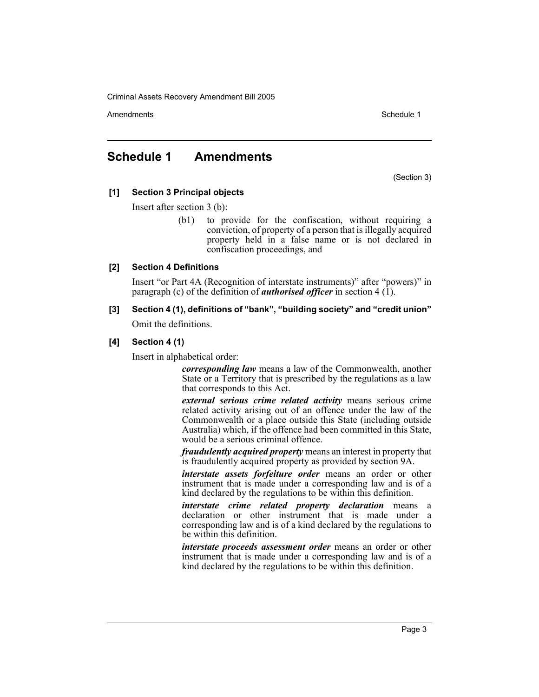Amendments **Amendments** Schedule 1

## **Schedule 1 Amendments**

(Section 3)

## **[1] Section 3 Principal objects**

Insert after section 3 (b):

(b1) to provide for the confiscation, without requiring a conviction, of property of a person that is illegally acquired property held in a false name or is not declared in confiscation proceedings, and

## **[2] Section 4 Definitions**

Insert "or Part 4A (Recognition of interstate instruments)" after "powers)" in paragraph (c) of the definition of *authorised officer* in section 4 (1).

**[3] Section 4 (1), definitions of "bank", "building society" and "credit union"** Omit the definitions.

## **[4] Section 4 (1)**

Insert in alphabetical order:

*corresponding law* means a law of the Commonwealth, another State or a Territory that is prescribed by the regulations as a law that corresponds to this Act.

*external serious crime related activity* means serious crime related activity arising out of an offence under the law of the Commonwealth or a place outside this State (including outside Australia) which, if the offence had been committed in this State, would be a serious criminal offence.

*fraudulently acquired property* means an interest in property that is fraudulently acquired property as provided by section 9A.

*interstate assets forfeiture order* means an order or other instrument that is made under a corresponding law and is of a kind declared by the regulations to be within this definition.

*interstate crime related property declaration* means a declaration or other instrument that is made under a corresponding law and is of a kind declared by the regulations to be within this definition.

*interstate proceeds assessment order* means an order or other instrument that is made under a corresponding law and is of a kind declared by the regulations to be within this definition.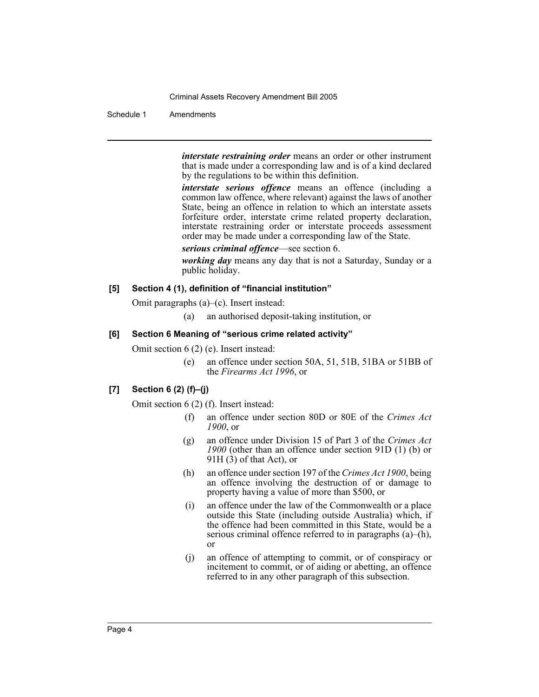### Schedule 1 Amendments

*interstate restraining order* means an order or other instrument that is made under a corresponding law and is of a kind declared by the regulations to be within this definition.

*interstate serious offence* means an offence (including a common law offence, where relevant) against the laws of another State, being an offence in relation to which an interstate assets forfeiture order, interstate crime related property declaration, interstate restraining order or interstate proceeds assessment order may be made under a corresponding law of the State.

*serious criminal offence*—see section 6.

*working day* means any day that is not a Saturday, Sunday or a public holiday.

## **[5] Section 4 (1), definition of "financial institution"**

Omit paragraphs (a)–(c). Insert instead:

(a) an authorised deposit-taking institution, or

## **[6] Section 6 Meaning of "serious crime related activity"**

Omit section 6 (2) (e). Insert instead:

(e) an offence under section 50A, 51, 51B, 51BA or 51BB of the *Firearms Act 1996*, or

## **[7] Section 6 (2) (f)–(j)**

Omit section 6 (2) (f). Insert instead:

- (f) an offence under section 80D or 80E of the *Crimes Act 1900*, or
- (g) an offence under Division 15 of Part 3 of the *Crimes Act 1900* (other than an offence under section 91D (1) (b) or  $91H(3)$  of that Act), or
- (h) an offence under section 197 of the *Crimes Act 1900*, being an offence involving the destruction of or damage to property having a value of more than \$500, or
- (i) an offence under the law of the Commonwealth or a place outside this State (including outside Australia) which, if the offence had been committed in this State, would be a serious criminal offence referred to in paragraphs (a)–(h), or
- (j) an offence of attempting to commit, or of conspiracy or incitement to commit, or of aiding or abetting, an offence referred to in any other paragraph of this subsection.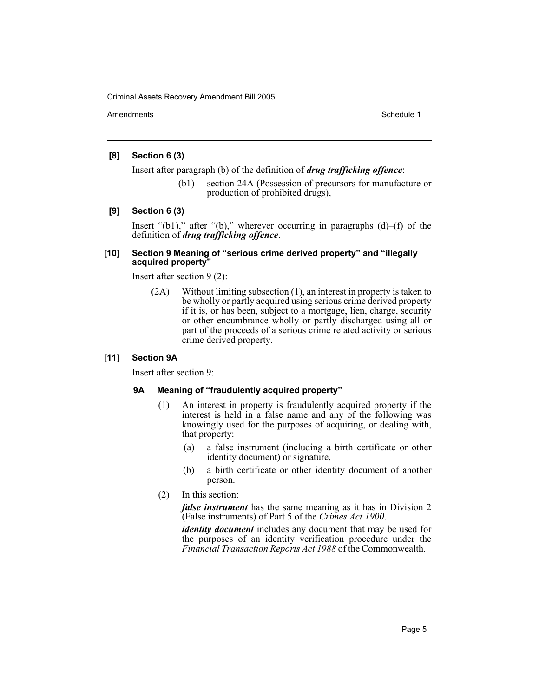Amendments **Schedule 1** and the set of the set of the set of the set of the set of the set of the set of the set of the set of the set of the set of the set of the set of the set of the set of the set of the set of the set

## **[8] Section 6 (3)**

Insert after paragraph (b) of the definition of *drug trafficking offence*:

(b1) section 24A (Possession of precursors for manufacture or production of prohibited drugs),

## **[9] Section 6 (3)**

Insert "(b1)," after "(b)," wherever occurring in paragraphs (d)–(f) of the definition of *drug trafficking offence*.

## **[10] Section 9 Meaning of "serious crime derived property" and "illegally acquired property"**

Insert after section 9 (2):

(2A) Without limiting subsection (1), an interest in property is taken to be wholly or partly acquired using serious crime derived property if it is, or has been, subject to a mortgage, lien, charge, security or other encumbrance wholly or partly discharged using all or part of the proceeds of a serious crime related activity or serious crime derived property.

## **[11] Section 9A**

Insert after section 9:

## **9A Meaning of "fraudulently acquired property"**

- (1) An interest in property is fraudulently acquired property if the interest is held in a false name and any of the following was knowingly used for the purposes of acquiring, or dealing with, that property:
	- (a) a false instrument (including a birth certificate or other identity document) or signature,
	- (b) a birth certificate or other identity document of another person.
- (2) In this section:

*false instrument* has the same meaning as it has in Division 2 (False instruments) of Part 5 of the *Crimes Act 1900*.

*identity document* includes any document that may be used for the purposes of an identity verification procedure under the *Financial Transaction Reports Act 1988* of the Commonwealth.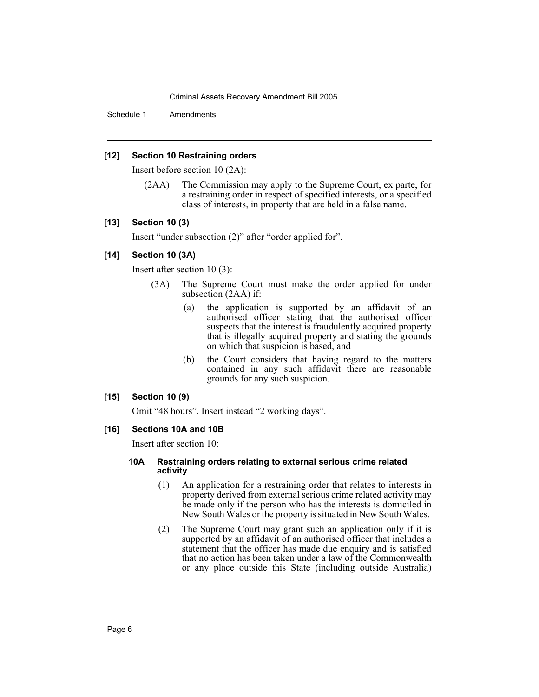Schedule 1 Amendments

## **[12] Section 10 Restraining orders**

Insert before section 10 (2A):

(2AA) The Commission may apply to the Supreme Court, ex parte, for a restraining order in respect of specified interests, or a specified class of interests, in property that are held in a false name.

## **[13] Section 10 (3)**

Insert "under subsection (2)" after "order applied for".

## **[14] Section 10 (3A)**

Insert after section 10 (3):

- (3A) The Supreme Court must make the order applied for under subsection (2AA) if:
	- (a) the application is supported by an affidavit of an authorised officer stating that the authorised officer suspects that the interest is fraudulently acquired property that is illegally acquired property and stating the grounds on which that suspicion is based, and
	- (b) the Court considers that having regard to the matters contained in any such affidavit there are reasonable grounds for any such suspicion.

## **[15] Section 10 (9)**

Omit "48 hours". Insert instead "2 working days".

## **[16] Sections 10A and 10B**

Insert after section 10:

## **10A Restraining orders relating to external serious crime related activity**

- (1) An application for a restraining order that relates to interests in property derived from external serious crime related activity may be made only if the person who has the interests is domiciled in New South Wales or the property is situated in New South Wales.
- (2) The Supreme Court may grant such an application only if it is supported by an affidavit of an authorised officer that includes a statement that the officer has made due enquiry and is satisfied that no action has been taken under a law of the Commonwealth or any place outside this State (including outside Australia)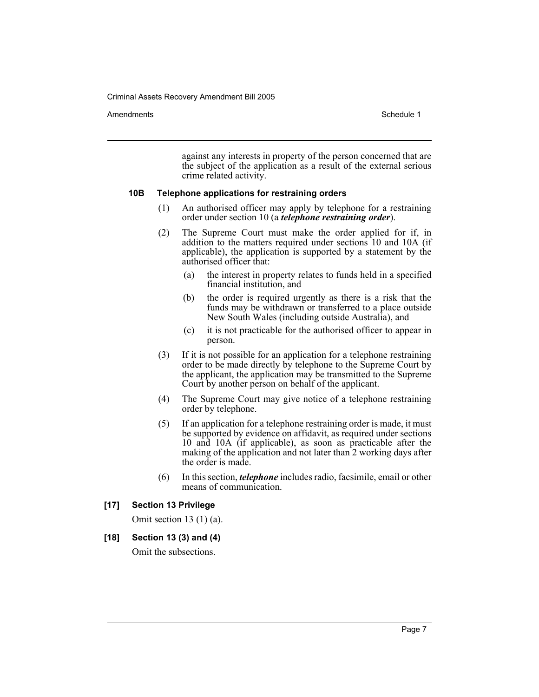#### Amendments **Schedule 1** and the set of the set of the set of the set of the set of the set of the set of the set of the set of the set of the set of the set of the set of the set of the set of the set of the set of the set

against any interests in property of the person concerned that are the subject of the application as a result of the external serious crime related activity.

#### **10B Telephone applications for restraining orders**

- (1) An authorised officer may apply by telephone for a restraining order under section 10 (a *telephone restraining order*).
- (2) The Supreme Court must make the order applied for if, in addition to the matters required under sections 10 and 10A (if applicable), the application is supported by a statement by the authorised officer that:
	- (a) the interest in property relates to funds held in a specified financial institution, and
	- (b) the order is required urgently as there is a risk that the funds may be withdrawn or transferred to a place outside New South Wales (including outside Australia), and
	- (c) it is not practicable for the authorised officer to appear in person.
- (3) If it is not possible for an application for a telephone restraining order to be made directly by telephone to the Supreme Court by the applicant, the application may be transmitted to the Supreme Court by another person on behalf of the applicant.
- (4) The Supreme Court may give notice of a telephone restraining order by telephone.
- (5) If an application for a telephone restraining order is made, it must be supported by evidence on affidavit, as required under sections 10 and 10A (if applicable), as soon as practicable after the making of the application and not later than 2 working days after the order is made.
- (6) In this section, *telephone* includes radio, facsimile, email or other means of communication.

#### **[17] Section 13 Privilege**

Omit section 13 (1) (a).

## **[18] Section 13 (3) and (4)**

Omit the subsections.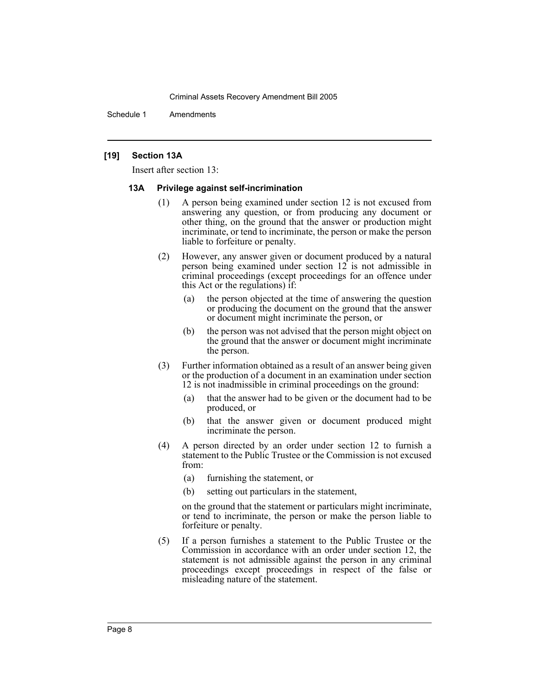Schedule 1 Amendments

#### **[19] Section 13A**

Insert after section 13:

#### **13A Privilege against self-incrimination**

- (1) A person being examined under section 12 is not excused from answering any question, or from producing any document or other thing, on the ground that the answer or production might incriminate, or tend to incriminate, the person or make the person liable to forfeiture or penalty.
- (2) However, any answer given or document produced by a natural person being examined under section 12 is not admissible in criminal proceedings (except proceedings for an offence under this Act or the regulations) if:
	- (a) the person objected at the time of answering the question or producing the document on the ground that the answer or document might incriminate the person, or
	- (b) the person was not advised that the person might object on the ground that the answer or document might incriminate the person.
- (3) Further information obtained as a result of an answer being given or the production of a document in an examination under section 12 is not inadmissible in criminal proceedings on the ground:
	- (a) that the answer had to be given or the document had to be produced, or
	- (b) that the answer given or document produced might incriminate the person.
- (4) A person directed by an order under section 12 to furnish a statement to the Public Trustee or the Commission is not excused from:
	- (a) furnishing the statement, or
	- (b) setting out particulars in the statement,

on the ground that the statement or particulars might incriminate, or tend to incriminate, the person or make the person liable to forfeiture or penalty.

(5) If a person furnishes a statement to the Public Trustee or the Commission in accordance with an order under section 12, the statement is not admissible against the person in any criminal proceedings except proceedings in respect of the false or misleading nature of the statement.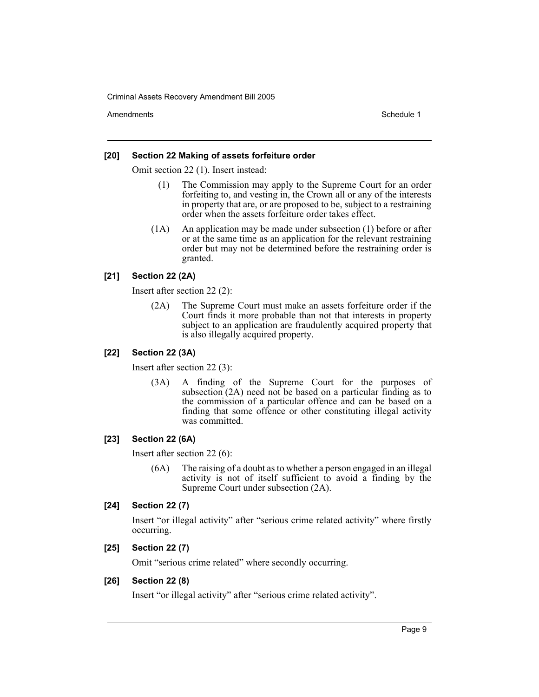Amendments **Schedule 1** and the set of the set of the set of the set of the set of the set of the set of the set of the set of the set of the set of the set of the set of the set of the set of the set of the set of the set

#### **[20] Section 22 Making of assets forfeiture order**

Omit section 22 (1). Insert instead:

- (1) The Commission may apply to the Supreme Court for an order forfeiting to, and vesting in, the Crown all or any of the interests in property that are, or are proposed to be, subject to a restraining order when the assets forfeiture order takes effect.
- (1A) An application may be made under subsection (1) before or after or at the same time as an application for the relevant restraining order but may not be determined before the restraining order is granted.

## **[21] Section 22 (2A)**

Insert after section 22 (2):

(2A) The Supreme Court must make an assets forfeiture order if the Court finds it more probable than not that interests in property subject to an application are fraudulently acquired property that is also illegally acquired property.

## **[22] Section 22 (3A)**

Insert after section 22 (3):

(3A) A finding of the Supreme Court for the purposes of subsection  $(2A)$  need not be based on a particular finding as to the commission of a particular offence and can be based on a finding that some offence or other constituting illegal activity was committed.

## **[23] Section 22 (6A)**

Insert after section 22 (6):

(6A) The raising of a doubt as to whether a person engaged in an illegal activity is not of itself sufficient to avoid a finding by the Supreme Court under subsection (2A).

## **[24] Section 22 (7)**

Insert "or illegal activity" after "serious crime related activity" where firstly occurring.

## **[25] Section 22 (7)**

Omit "serious crime related" where secondly occurring.

## **[26] Section 22 (8)**

Insert "or illegal activity" after "serious crime related activity".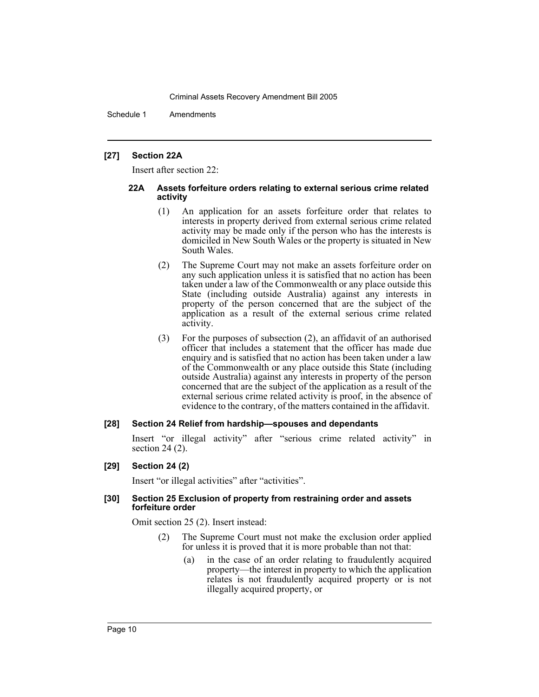Schedule 1 Amendments

## **[27] Section 22A**

Insert after section 22:

#### **22A Assets forfeiture orders relating to external serious crime related activity**

- (1) An application for an assets forfeiture order that relates to interests in property derived from external serious crime related activity may be made only if the person who has the interests is domiciled in New South Wales or the property is situated in New South Wales.
- (2) The Supreme Court may not make an assets forfeiture order on any such application unless it is satisfied that no action has been taken under a law of the Commonwealth or any place outside this State (including outside Australia) against any interests in property of the person concerned that are the subject of the application as a result of the external serious crime related activity.
- (3) For the purposes of subsection (2), an affidavit of an authorised officer that includes a statement that the officer has made due enquiry and is satisfied that no action has been taken under a law of the Commonwealth or any place outside this State (including outside Australia) against any interests in property of the person concerned that are the subject of the application as a result of the external serious crime related activity is proof, in the absence of evidence to the contrary, of the matters contained in the affidavit.

## **[28] Section 24 Relief from hardship—spouses and dependants**

Insert "or illegal activity" after "serious crime related activity" in section 24 (2).

## **[29] Section 24 (2)**

Insert "or illegal activities" after "activities".

## **[30] Section 25 Exclusion of property from restraining order and assets forfeiture order**

Omit section 25 (2). Insert instead:

- (2) The Supreme Court must not make the exclusion order applied for unless it is proved that it is more probable than not that:
	- (a) in the case of an order relating to fraudulently acquired property—the interest in property to which the application relates is not fraudulently acquired property or is not illegally acquired property, or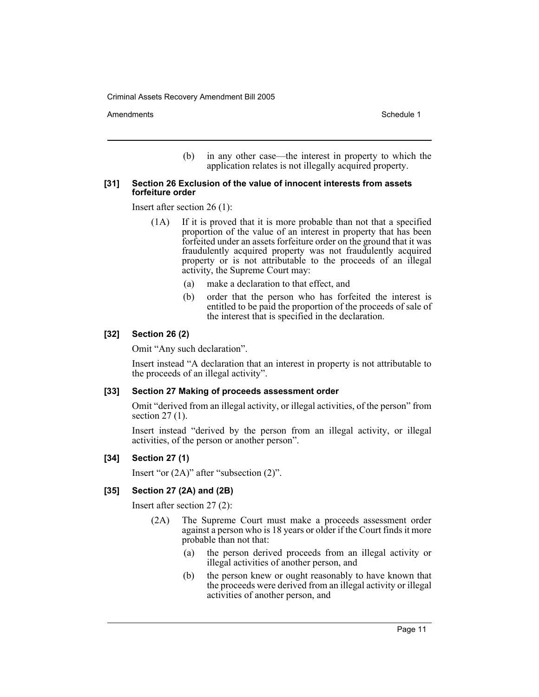Amendments **Schedule 1** and the set of the set of the set of the set of the set of the set of the set of the set of the set of the set of the set of the set of the set of the set of the set of the set of the set of the set

(b) in any other case—the interest in property to which the application relates is not illegally acquired property.

#### **[31] Section 26 Exclusion of the value of innocent interests from assets forfeiture order**

Insert after section 26 (1):

- (1A) If it is proved that it is more probable than not that a specified proportion of the value of an interest in property that has been forfeited under an assets forfeiture order on the ground that it was fraudulently acquired property was not fraudulently acquired property or is not attributable to the proceeds of an illegal activity, the Supreme Court may:
	- (a) make a declaration to that effect, and
	- (b) order that the person who has forfeited the interest is entitled to be paid the proportion of the proceeds of sale of the interest that is specified in the declaration.

## **[32] Section 26 (2)**

Omit "Any such declaration".

Insert instead "A declaration that an interest in property is not attributable to the proceeds of an illegal activity".

## **[33] Section 27 Making of proceeds assessment order**

Omit "derived from an illegal activity, or illegal activities, of the person" from section 27 (1).

Insert instead "derived by the person from an illegal activity, or illegal activities, of the person or another person".

## **[34] Section 27 (1)**

Insert "or (2A)" after "subsection (2)".

## **[35] Section 27 (2A) and (2B)**

Insert after section 27 (2):

- (2A) The Supreme Court must make a proceeds assessment order against a person who is 18 years or older if the Court finds it more probable than not that:
	- (a) the person derived proceeds from an illegal activity or illegal activities of another person, and
	- (b) the person knew or ought reasonably to have known that the proceeds were derived from an illegal activity or illegal activities of another person, and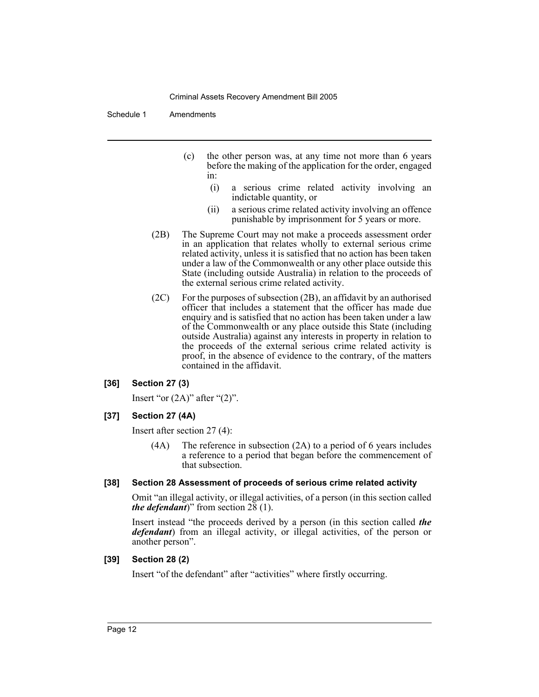Schedule 1 Amendments

- (c) the other person was, at any time not more than 6 years before the making of the application for the order, engaged in:
	- (i) a serious crime related activity involving an indictable quantity, or
	- (ii) a serious crime related activity involving an offence punishable by imprisonment for 5 years or more.
- (2B) The Supreme Court may not make a proceeds assessment order in an application that relates wholly to external serious crime related activity, unless it is satisfied that no action has been taken under a law of the Commonwealth or any other place outside this State (including outside Australia) in relation to the proceeds of the external serious crime related activity.
- (2C) For the purposes of subsection (2B), an affidavit by an authorised officer that includes a statement that the officer has made due enquiry and is satisfied that no action has been taken under a law of the Commonwealth or any place outside this State (including outside Australia) against any interests in property in relation to the proceeds of the external serious crime related activity is proof, in the absence of evidence to the contrary, of the matters contained in the affidavit.

## **[36] Section 27 (3)**

Insert "or  $(2A)$ " after " $(2)$ ".

## **[37] Section 27 (4A)**

Insert after section 27 (4):

(4A) The reference in subsection (2A) to a period of 6 years includes a reference to a period that began before the commencement of that subsection.

#### **[38] Section 28 Assessment of proceeds of serious crime related activity**

Omit "an illegal activity, or illegal activities, of a person (in this section called *the defendant*)" from section  $2\bar{8}$  (1).

Insert instead "the proceeds derived by a person (in this section called *the defendant*) from an illegal activity, or illegal activities, of the person or another person".

#### **[39] Section 28 (2)**

Insert "of the defendant" after "activities" where firstly occurring.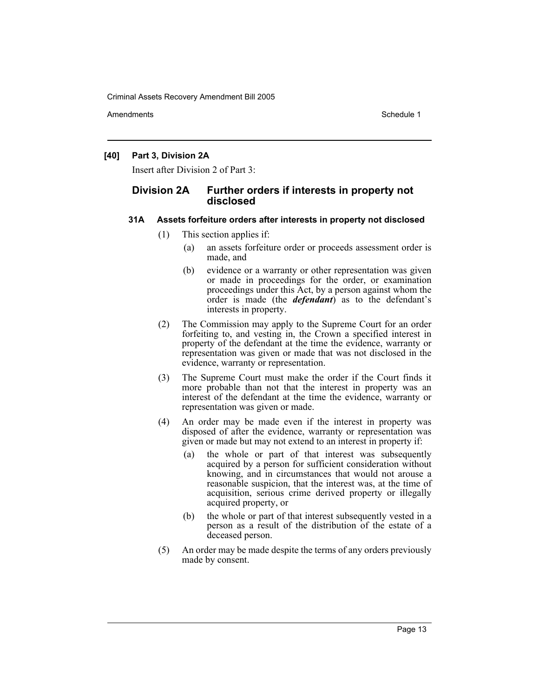Amendments **Schedule 1** and the set of the set of the set of the set of the set of the set of the set of the set of the set of the set of the set of the set of the set of the set of the set of the set of the set of the set

## **[40] Part 3, Division 2A**

Insert after Division 2 of Part 3:

## **Division 2A Further orders if interests in property not disclosed**

## **31A Assets forfeiture orders after interests in property not disclosed**

- (1) This section applies if:
	- (a) an assets forfeiture order or proceeds assessment order is made, and
	- (b) evidence or a warranty or other representation was given or made in proceedings for the order, or examination proceedings under this Act, by a person against whom the order is made (the *defendant*) as to the defendant's interests in property.
- (2) The Commission may apply to the Supreme Court for an order forfeiting to, and vesting in, the Crown a specified interest in property of the defendant at the time the evidence, warranty or representation was given or made that was not disclosed in the evidence, warranty or representation.
- (3) The Supreme Court must make the order if the Court finds it more probable than not that the interest in property was an interest of the defendant at the time the evidence, warranty or representation was given or made.
- (4) An order may be made even if the interest in property was disposed of after the evidence, warranty or representation was given or made but may not extend to an interest in property if:
	- (a) the whole or part of that interest was subsequently acquired by a person for sufficient consideration without knowing, and in circumstances that would not arouse a reasonable suspicion, that the interest was, at the time of acquisition, serious crime derived property or illegally acquired property, or
	- (b) the whole or part of that interest subsequently vested in a person as a result of the distribution of the estate of a deceased person.
- (5) An order may be made despite the terms of any orders previously made by consent.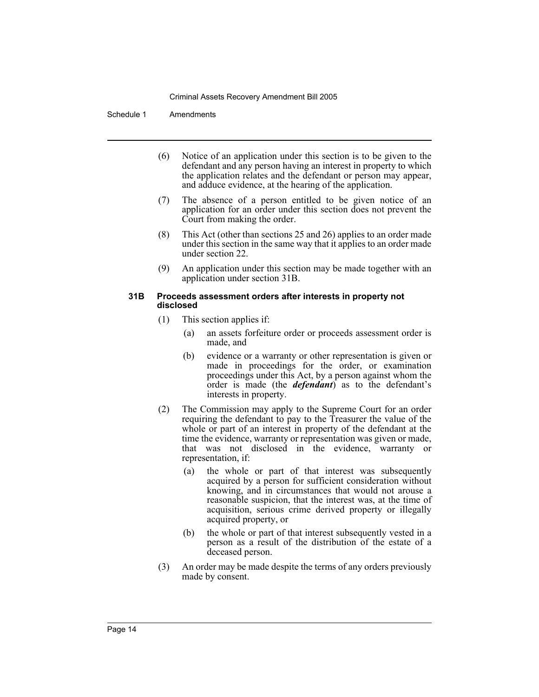Schedule 1 Amendments

- (6) Notice of an application under this section is to be given to the defendant and any person having an interest in property to which the application relates and the defendant or person may appear, and adduce evidence, at the hearing of the application.
- (7) The absence of a person entitled to be given notice of an application for an order under this section does not prevent the Court from making the order.
- (8) This Act (other than sections 25 and 26) applies to an order made under this section in the same way that it applies to an order made under section 22.
- (9) An application under this section may be made together with an application under section 31B.

#### **31B Proceeds assessment orders after interests in property not disclosed**

- (1) This section applies if:
	- (a) an assets forfeiture order or proceeds assessment order is made, and
	- (b) evidence or a warranty or other representation is given or made in proceedings for the order, or examination proceedings under this Act, by a person against whom the order is made (the *defendant*) as to the defendant's interests in property.
- (2) The Commission may apply to the Supreme Court for an order requiring the defendant to pay to the Treasurer the value of the whole or part of an interest in property of the defendant at the time the evidence, warranty or representation was given or made, that was not disclosed in the evidence, warranty or representation, if:
	- (a) the whole or part of that interest was subsequently acquired by a person for sufficient consideration without knowing, and in circumstances that would not arouse a reasonable suspicion, that the interest was, at the time of acquisition, serious crime derived property or illegally acquired property, or
	- (b) the whole or part of that interest subsequently vested in a person as a result of the distribution of the estate of a deceased person.
- (3) An order may be made despite the terms of any orders previously made by consent.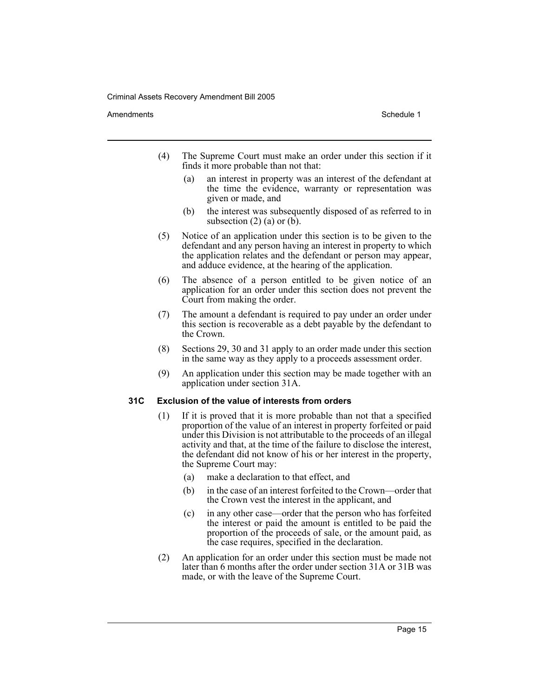#### Amendments **Schedule 1** and the set of the set of the set of the set of the set of the set of the set of the set of the set of the set of the set of the set of the set of the set of the set of the set of the set of the set

- (4) The Supreme Court must make an order under this section if it finds it more probable than not that:
	- (a) an interest in property was an interest of the defendant at the time the evidence, warranty or representation was given or made, and
	- (b) the interest was subsequently disposed of as referred to in subsection  $(2)$  (a) or  $(b)$ .
- (5) Notice of an application under this section is to be given to the defendant and any person having an interest in property to which the application relates and the defendant or person may appear, and adduce evidence, at the hearing of the application.
- (6) The absence of a person entitled to be given notice of an application for an order under this section does not prevent the Court from making the order.
- (7) The amount a defendant is required to pay under an order under this section is recoverable as a debt payable by the defendant to the Crown.
- (8) Sections 29, 30 and 31 apply to an order made under this section in the same way as they apply to a proceeds assessment order.
- (9) An application under this section may be made together with an application under section 31A.

## **31C Exclusion of the value of interests from orders**

- (1) If it is proved that it is more probable than not that a specified proportion of the value of an interest in property forfeited or paid under this Division is not attributable to the proceeds of an illegal activity and that, at the time of the failure to disclose the interest, the defendant did not know of his or her interest in the property, the Supreme Court may:
	- (a) make a declaration to that effect, and
	- (b) in the case of an interest forfeited to the Crown—order that the Crown vest the interest in the applicant, and
	- (c) in any other case—order that the person who has forfeited the interest or paid the amount is entitled to be paid the proportion of the proceeds of sale, or the amount paid, as the case requires, specified in the declaration.
- (2) An application for an order under this section must be made not later than 6 months after the order under section 31A or 31B was made, or with the leave of the Supreme Court.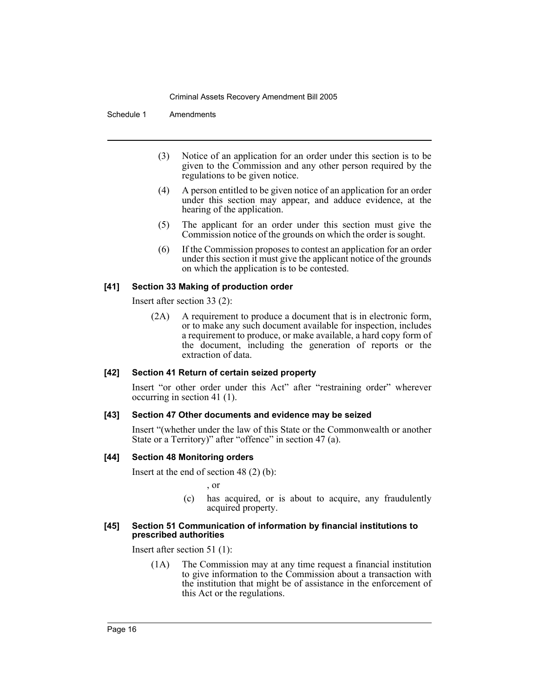Schedule 1 Amendments

- (3) Notice of an application for an order under this section is to be given to the Commission and any other person required by the regulations to be given notice.
- (4) A person entitled to be given notice of an application for an order under this section may appear, and adduce evidence, at the hearing of the application.
- (5) The applicant for an order under this section must give the Commission notice of the grounds on which the order is sought.
- (6) If the Commission proposes to contest an application for an order under this section it must give the applicant notice of the grounds on which the application is to be contested.

## **[41] Section 33 Making of production order**

Insert after section 33 (2):

(2A) A requirement to produce a document that is in electronic form, or to make any such document available for inspection, includes a requirement to produce, or make available, a hard copy form of the document, including the generation of reports or the extraction of data.

## **[42] Section 41 Return of certain seized property**

Insert "or other order under this Act" after "restraining order" wherever occurring in section 41 (1).

#### **[43] Section 47 Other documents and evidence may be seized**

Insert "(whether under the law of this State or the Commonwealth or another State or a Territory)" after "offence" in section 47 (a).

## **[44] Section 48 Monitoring orders**

Insert at the end of section 48 (2) (b):

, or

(c) has acquired, or is about to acquire, any fraudulently acquired property.

#### **[45] Section 51 Communication of information by financial institutions to prescribed authorities**

Insert after section 51 (1):

(1A) The Commission may at any time request a financial institution to give information to the Commission about a transaction with the institution that might be of assistance in the enforcement of this Act or the regulations.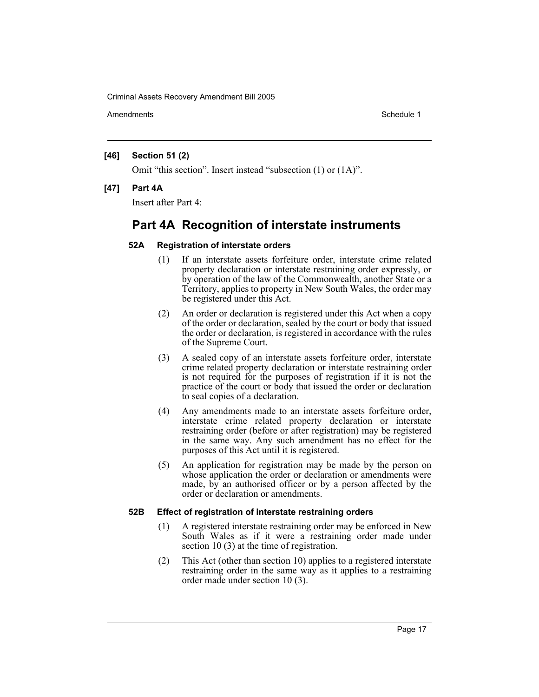Amendments **Schedule 1** and the set of the set of the set of the set of the set of the set of the set of the set of the set of the set of the set of the set of the set of the set of the set of the set of the set of the set

## **[46] Section 51 (2)**

Omit "this section". Insert instead "subsection (1) or (1A)".

## **[47] Part 4A**

Insert after Part 4:

# **Part 4A Recognition of interstate instruments**

## **52A Registration of interstate orders**

- (1) If an interstate assets forfeiture order, interstate crime related property declaration or interstate restraining order expressly, or by operation of the law of the Commonwealth, another State or a Territory, applies to property in New South Wales, the order may be registered under this Act.
- (2) An order or declaration is registered under this Act when a copy of the order or declaration, sealed by the court or body that issued the order or declaration, is registered in accordance with the rules of the Supreme Court.
- (3) A sealed copy of an interstate assets forfeiture order, interstate crime related property declaration or interstate restraining order is not required for the purposes of registration if it is not the practice of the court or body that issued the order or declaration to seal copies of a declaration.
- (4) Any amendments made to an interstate assets forfeiture order, interstate crime related property declaration or interstate restraining order (before or after registration) may be registered in the same way. Any such amendment has no effect for the purposes of this Act until it is registered.
- (5) An application for registration may be made by the person on whose application the order or declaration or amendments were made, by an authorised officer or by a person affected by the order or declaration or amendments.

## **52B Effect of registration of interstate restraining orders**

- (1) A registered interstate restraining order may be enforced in New South Wales as if it were a restraining order made under section 10 (3) at the time of registration.
- (2) This Act (other than section 10) applies to a registered interstate restraining order in the same way as it applies to a restraining order made under section 10 (3).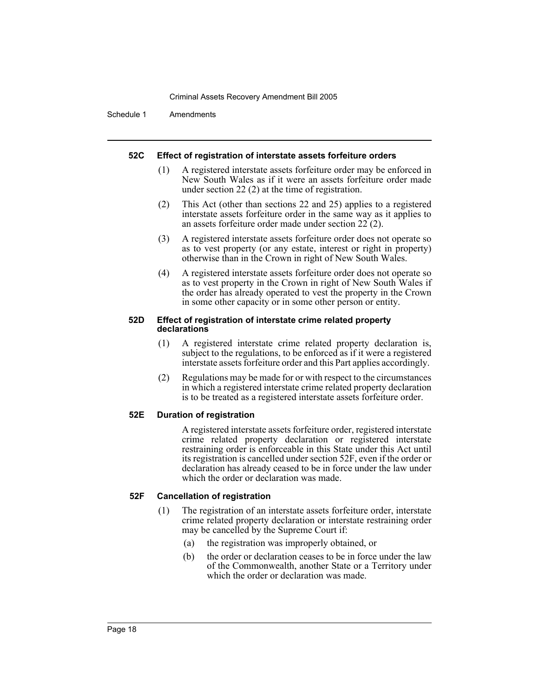Schedule 1 Amendments

## **52C Effect of registration of interstate assets forfeiture orders**

- (1) A registered interstate assets forfeiture order may be enforced in New South Wales as if it were an assets forfeiture order made under section 22 (2) at the time of registration.
- (2) This Act (other than sections 22 and 25) applies to a registered interstate assets forfeiture order in the same way as it applies to an assets forfeiture order made under section 22 (2).
- (3) A registered interstate assets forfeiture order does not operate so as to vest property (or any estate, interest or right in property) otherwise than in the Crown in right of New South Wales.
- (4) A registered interstate assets forfeiture order does not operate so as to vest property in the Crown in right of New South Wales if the order has already operated to vest the property in the Crown in some other capacity or in some other person or entity.

#### **52D Effect of registration of interstate crime related property declarations**

- (1) A registered interstate crime related property declaration is, subject to the regulations, to be enforced as if it were a registered interstate assets forfeiture order and this Part applies accordingly.
- (2) Regulations may be made for or with respect to the circumstances in which a registered interstate crime related property declaration is to be treated as a registered interstate assets forfeiture order.

## **52E Duration of registration**

A registered interstate assets forfeiture order, registered interstate crime related property declaration or registered interstate restraining order is enforceable in this State under this Act until its registration is cancelled under section 52F, even if the order or declaration has already ceased to be in force under the law under which the order or declaration was made.

## **52F Cancellation of registration**

- (1) The registration of an interstate assets forfeiture order, interstate crime related property declaration or interstate restraining order may be cancelled by the Supreme Court if:
	- (a) the registration was improperly obtained, or
	- (b) the order or declaration ceases to be in force under the law of the Commonwealth, another State or a Territory under which the order or declaration was made.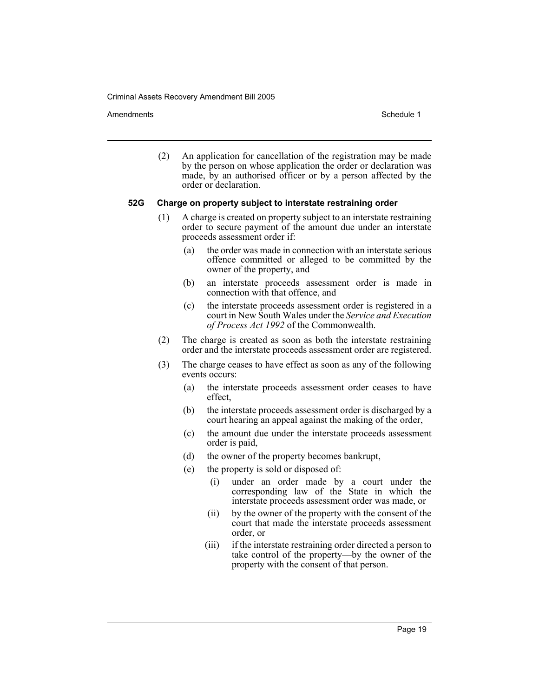Amendments **Schedule 1** and the set of the set of the set of the set of the set of the set of the set of the set of the set of the set of the set of the set of the set of the set of the set of the set of the set of the set

(2) An application for cancellation of the registration may be made by the person on whose application the order or declaration was made, by an authorised officer or by a person affected by the order or declaration.

## **52G Charge on property subject to interstate restraining order**

- (1) A charge is created on property subject to an interstate restraining order to secure payment of the amount due under an interstate proceeds assessment order if:
	- (a) the order was made in connection with an interstate serious offence committed or alleged to be committed by the owner of the property, and
	- (b) an interstate proceeds assessment order is made in connection with that offence, and
	- (c) the interstate proceeds assessment order is registered in a court in New South Wales under the *Service and Execution of Process Act 1992* of the Commonwealth.
- (2) The charge is created as soon as both the interstate restraining order and the interstate proceeds assessment order are registered.
- (3) The charge ceases to have effect as soon as any of the following events occurs:
	- (a) the interstate proceeds assessment order ceases to have effect,
	- (b) the interstate proceeds assessment order is discharged by a court hearing an appeal against the making of the order,
	- (c) the amount due under the interstate proceeds assessment order is paid,
	- (d) the owner of the property becomes bankrupt,
	- (e) the property is sold or disposed of:
		- (i) under an order made by a court under the corresponding law of the State in which the interstate proceeds assessment order was made, or
		- (ii) by the owner of the property with the consent of the court that made the interstate proceeds assessment order, or
		- (iii) if the interstate restraining order directed a person to take control of the property—by the owner of the property with the consent of that person.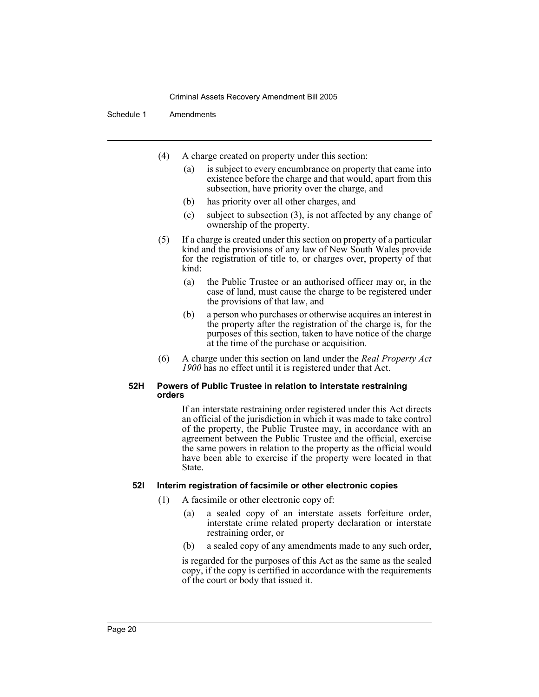## Schedule 1 Amendments

- (4) A charge created on property under this section:
	- (a) is subject to every encumbrance on property that came into existence before the charge and that would, apart from this subsection, have priority over the charge, and
	- (b) has priority over all other charges, and
	- (c) subject to subsection (3), is not affected by any change of ownership of the property.
- (5) If a charge is created under this section on property of a particular kind and the provisions of any law of New South Wales provide for the registration of title to, or charges over, property of that kind:
	- (a) the Public Trustee or an authorised officer may or, in the case of land, must cause the charge to be registered under the provisions of that law, and
	- (b) a person who purchases or otherwise acquires an interest in the property after the registration of the charge is, for the purposes of this section, taken to have notice of the charge at the time of the purchase or acquisition.
- (6) A charge under this section on land under the *Real Property Act 1900* has no effect until it is registered under that Act.

#### **52H Powers of Public Trustee in relation to interstate restraining orders**

If an interstate restraining order registered under this Act directs an official of the jurisdiction in which it was made to take control of the property, the Public Trustee may, in accordance with an agreement between the Public Trustee and the official, exercise the same powers in relation to the property as the official would have been able to exercise if the property were located in that State.

## **52I Interim registration of facsimile or other electronic copies**

- (1) A facsimile or other electronic copy of:
	- (a) a sealed copy of an interstate assets forfeiture order, interstate crime related property declaration or interstate restraining order, or
	- (b) a sealed copy of any amendments made to any such order,

is regarded for the purposes of this Act as the same as the sealed copy, if the copy is certified in accordance with the requirements of the court or body that issued it.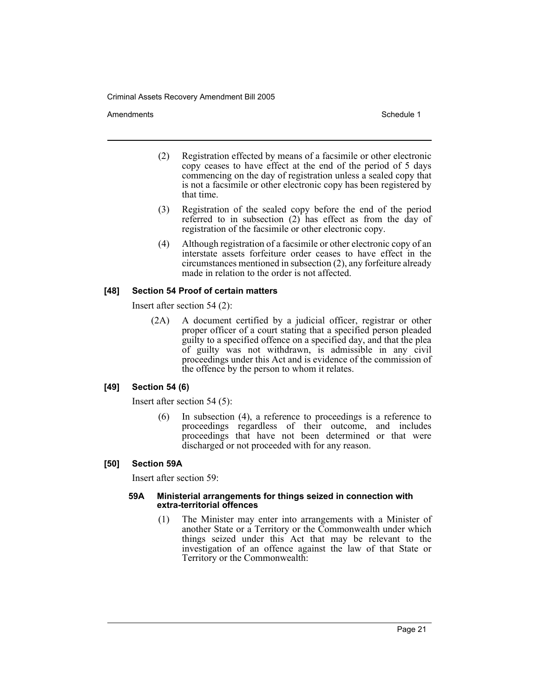Amendments **Amendments** Schedule 1

- (2) Registration effected by means of a facsimile or other electronic copy ceases to have effect at the end of the period of 5 days commencing on the day of registration unless a sealed copy that is not a facsimile or other electronic copy has been registered by that time.
- (3) Registration of the sealed copy before the end of the period referred to in subsection (2) has effect as from the day of registration of the facsimile or other electronic copy.
- (4) Although registration of a facsimile or other electronic copy of an interstate assets forfeiture order ceases to have effect in the circumstances mentioned in subsection (2), any forfeiture already made in relation to the order is not affected.

## **[48] Section 54 Proof of certain matters**

Insert after section 54 (2):

(2A) A document certified by a judicial officer, registrar or other proper officer of a court stating that a specified person pleaded guilty to a specified offence on a specified day, and that the plea of guilty was not withdrawn, is admissible in any civil proceedings under this Act and is evidence of the commission of the offence by the person to whom it relates.

## **[49] Section 54 (6)**

Insert after section 54 (5):

(6) In subsection (4), a reference to proceedings is a reference to proceedings regardless of their outcome, and includes proceedings that have not been determined or that were discharged or not proceeded with for any reason.

## **[50] Section 59A**

Insert after section 59:

#### **59A Ministerial arrangements for things seized in connection with extra-territorial offences**

(1) The Minister may enter into arrangements with a Minister of another State or a Territory or the Commonwealth under which things seized under this Act that may be relevant to the investigation of an offence against the law of that State or Territory or the Commonwealth: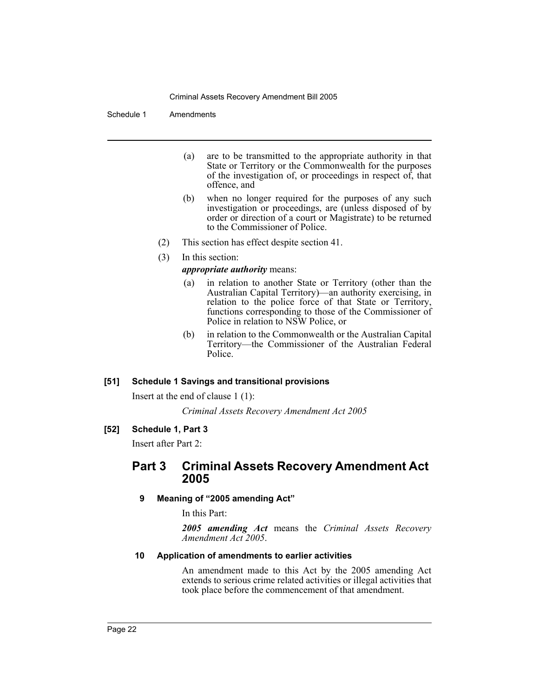## Schedule 1 Amendments

- (a) are to be transmitted to the appropriate authority in that State or Territory or the Commonwealth for the purposes of the investigation of, or proceedings in respect of, that offence, and
- (b) when no longer required for the purposes of any such investigation or proceedings, are (unless disposed of by order or direction of a court or Magistrate) to be returned to the Commissioner of Police.
- (2) This section has effect despite section 41.
- (3) In this section:

## *appropriate authority* means:

- (a) in relation to another State or Territory (other than the Australian Capital Territory)—an authority exercising, in relation to the police force of that State or Territory, functions corresponding to those of the Commissioner of Police in relation to NSW Police, or
- (b) in relation to the Commonwealth or the Australian Capital Territory—the Commissioner of the Australian Federal Police.

## **[51] Schedule 1 Savings and transitional provisions**

Insert at the end of clause 1 (1):

*Criminal Assets Recovery Amendment Act 2005*

## **[52] Schedule 1, Part 3**

Insert after Part 2:

## **Part 3 Criminal Assets Recovery Amendment Act 2005**

## **9 Meaning of "2005 amending Act"**

In this Part:

*2005 amending Act* means the *Criminal Assets Recovery Amendment Act 2005*.

### **10 Application of amendments to earlier activities**

An amendment made to this Act by the 2005 amending Act extends to serious crime related activities or illegal activities that took place before the commencement of that amendment.